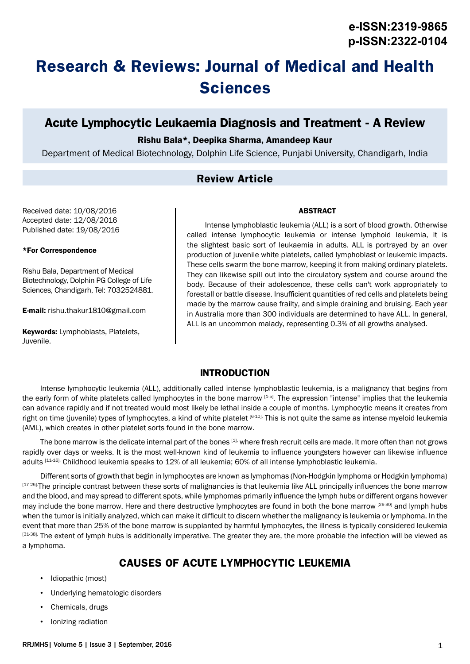# **Research & Reviews: Journal of Medical and Health Sciences**

# **Acute Lymphocytic Leukaemia Diagnosis and Treatment - A Review**

### Rishu Bala\*, Deepika Sharma, Amandeep Kaur

Department of Medical Biotechnology, Dolphin Life Science, Punjabi University, Chandigarh, India

# **Review Article**

Received date: 10/08/2016 Accepted date: 12/08/2016 Published date: 19/08/2016

#### \*For Correspondence

Rishu Bala, Department of Medical Biotechnology, Dolphin PG College of Life Sciences, Chandigarh, Tel: 7032524881.

E-mail: rishu.thakur1810@gmail.com

Keywords: Lymphoblasts, Platelets, Juvenile.

ABSTRACT

Intense lymphoblastic leukemia (ALL) is a sort of blood growth. Otherwise called intense lymphocytic leukemia or intense lymphoid leukemia, it is the slightest basic sort of leukaemia in adults. ALL is portrayed by an over production of juvenile white platelets, called lymphoblast or leukemic impacts. These cells swarm the bone marrow, keeping it from making ordinary platelets. They can likewise spill out into the circulatory system and course around the body. Because of their adolescence, these cells can't work appropriately to forestall or battle disease. Insufficient quantities of red cells and platelets being made by the marrow cause frailty, and simple draining and bruising. Each year in Australia more than 300 individuals are determined to have ALL. In general, ALL is an uncommon malady, representing 0.3% of all growths analysed.

### **INTRODUCTION**

Intense lymphocytic leukemia (ALL), additionally called intense lymphoblastic leukemia, is a malignancy that begins from the early form of white platelets called lymphocytes in the bone marrow [1-5]. The expression "intense" implies that the leukemia can advance rapidly and if not treated would most likely be lethal inside a couple of months. Lymphocytic means it creates from right on time (juvenile) types of lymphocytes, a kind of white platelet [6-10]. This is not quite the same as intense myeloid leukemia (AML), which creates in other platelet sorts found in the bone marrow.

The bone marrow is the delicate internal part of the bones [1], where fresh recruit cells are made. It more often than not grows rapidly over days or weeks. It is the most well-known kind of leukemia to influence youngsters however can likewise influence adults [11-16]. Childhood leukemia speaks to 12% of all leukemia; 60% of all intense lymphoblastic leukemia.

Different sorts of growth that begin in lymphocytes are known as lymphomas (Non-Hodgkin lymphoma or Hodgkin lymphoma) [17-25]-The principle contrast between these sorts of malignancies is that leukemia like ALL principally influences the bone marrow and the blood, and may spread to different spots, while lymphomas primarily influence the lymph hubs or different organs however may include the bone marrow. Here and there destructive lymphocytes are found in both the bone marrow [26-30] and lymph hubs when the tumor is initially analyzed, which can make it difficult to discern whether the malignancy is leukemia or lymphoma. In the event that more than 25% of the bone marrow is supplanted by harmful lymphocytes, the illness is typically considered leukemia  $[31-38]$ . The extent of lymph hubs is additionally imperative. The greater they are, the more probable the infection will be viewed as a lymphoma.

# **CAUSES OF ACUTE LYMPHOCYTIC LEUKEMIA**

- Idiopathic (most)
- Underlying hematologic disorders
- Chemicals, drugs
- Ionizing radiation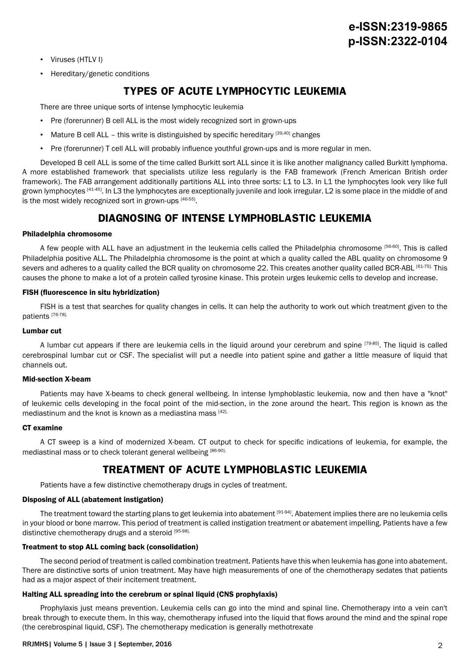- Viruses (HTLV I)
- Hereditary/genetic conditions

# **TYPES OF ACUTE LYMPHOCYTIC LEUKEMIA**

There are three unique sorts of intense lymphocytic leukemia

- Pre (forerunner) B cell ALL is the most widely recognized sort in grown-ups
- Mature B cell ALL this write is distinguished by specific hereditary  $[39,40]$  changes
- Pre (forerunner) T cell ALL will probably influence youthful grown-ups and is more regular in men.

Developed B cell ALL is some of the time called Burkitt sort ALL since it is like another malignancy called Burkitt lymphoma. A more established framework that specialists utilize less regularly is the FAB framework (French American British order framework). The FAB arrangement additionally partitions ALL into three sorts: L1 to L3. In L1 the lymphocytes look very like full grown lymphocytes [41-45]. In L3 the lymphocytes are exceptionally juvenile and look irregular. L2 is some place in the middle of and is the most widely recognized sort in grown-ups [46-55].

## **DIAGNOSING OF INTENSE LYMPHOBLASTIC LEUKEMIA**

#### Philadelphia chromosome

A few people with ALL have an adjustment in the leukemia cells called the Philadelphia chromosome [56-60]. This is called Philadelphia positive ALL. The Philadelphia chromosome is the point at which a quality called the ABL quality on chromosome 9 severs and adheres to a quality called the BCR quality on chromosome 22. This creates another quality called BCR-ABL [61-75]. This causes the phone to make a lot of a protein called tyrosine kinase. This protein urges leukemic cells to develop and increase.

#### FISH (fluorescence in situ hybridization)

FISH is a test that searches for quality changes in cells. It can help the authority to work out which treatment given to the patients [76-78].

#### Lumbar cut

A lumbar cut appears if there are leukemia cells in the liquid around your cerebrum and spine [79-85]. The liquid is called cerebrospinal lumbar cut or CSF. The specialist will put a needle into patient spine and gather a little measure of liquid that channels out.

#### Mid-section X-beam

Patients may have X-beams to check general wellbeing. In intense lymphoblastic leukemia, now and then have a "knot" of leukemic cells developing in the focal point of the mid-section, in the zone around the heart. This region is known as the mediastinum and the knot is known as a mediastina mass [42].

#### CT examine

A CT sweep is a kind of modernized X-beam. CT output to check for specific indications of leukemia, for example, the mediastinal mass or to check tolerant general wellbeing [86-90].

## **TREATMENT OF ACUTE LYMPHOBLASTIC LEUKEMIA**

Patients have a few distinctive chemotherapy drugs in cycles of treatment.

#### Disposing of ALL (abatement instigation)

The treatment toward the starting plans to get leukemia into abatement [91-94]. Abatement implies there are no leukemia cells in your blood or bone marrow. This period of treatment is called instigation treatment or abatement impelling. Patients have a few distinctive chemotherapy drugs and a steroid [95-98].

#### Treatment to stop ALL coming back (consolidation)

The second period of treatment is called combination treatment. Patients have this when leukemia has gone into abatement. There are distinctive sorts of union treatment. May have high measurements of one of the chemotherapy sedates that patients had as a major aspect of their incitement treatment.

#### Halting ALL spreading into the cerebrum or spinal liquid (CNS prophylaxis)

Prophylaxis just means prevention. Leukemia cells can go into the mind and spinal line. Chemotherapy into a vein can't break through to execute them. In this way, chemotherapy infused into the liquid that flows around the mind and the spinal rope (the cerebrospinal liquid, CSF). The chemotherapy medication is generally methotrexate

#### RRJMHS| Volume 5 | Issue 3 | September, 2016 2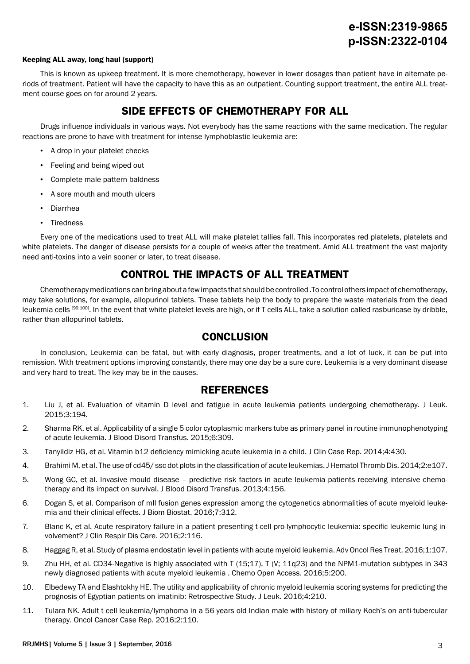#### Keeping ALL away, long haul (support)

This is known as upkeep treatment. It is more chemotherapy, however in lower dosages than patient have in alternate periods of treatment. Patient will have the capacity to have this as an outpatient. Counting support treatment, the entire ALL treatment course goes on for around 2 years.

# **SIDE EFFECTS OF CHEMOTHERAPY FOR ALL**

Drugs influence individuals in various ways. Not everybody has the same reactions with the same medication. The regular reactions are prone to have with treatment for intense lymphoblastic leukemia are:

- A drop in your platelet checks
- Feeling and being wiped out
- Complete male pattern baldness
- A sore mouth and mouth ulcers
- Diarrhea
- Tiredness

Every one of the medications used to treat ALL will make platelet tallies fall. This incorporates red platelets, platelets and white platelets. The danger of disease persists for a couple of weeks after the treatment. Amid ALL treatment the vast majority need anti-toxins into a vein sooner or later, to treat disease.

# **CONTROL THE IMPACTS OF ALL TREATMENT**

Chemotherapy medications can bring about a few impacts that should be controlled .To control others impact of chemotherapy, may take solutions, for example, allopurinol tablets. These tablets help the body to prepare the waste materials from the dead leukemia cells [99,100]. In the event that white platelet levels are high, or if T cells ALL, take a solution called rasburicase by dribble, rather than allopurinol tablets.

## **CONCLUSION**

In conclusion, Leukemia can be fatal, but with early diagnosis, proper treatments, and a lot of luck, it can be put into remission. With treatment options improving constantly, there may one day be a sure cure. Leukemia is a very dominant disease and very hard to treat. The key may be in the causes.

## **REFERENCES**

- 1. Liu J, et al. Evaluation of vitamin D level and fatigue in acute leukemia patients undergoing chemotherapy. J Leuk. 2015;3:194.
- 2. Sharma RK, et al. Applicability of a single 5 color cytoplasmic markers tube as primary panel in routine immunophenotyping of acute leukemia. J Blood Disord Transfus. 2015;6:309.
- 3. Tanyildiz HG, et al. Vitamin b12 deficiency mimicking acute leukemia in a child. J Clin Case Rep. 2014;4:430.
- 4. Brahimi M, et al. The use of cd45/ ssc dot plots in the classification of acute leukemias. J Hematol Thromb Dis. 2014;2:e107.
- 5. Wong GC, et al. Invasive mould disease predictive risk factors in acute leukemia patients receiving intensive chemotherapy and its impact on survival. J Blood Disord Transfus. 2013;4:156.
- 6. Dogan S, et al. Comparison of mll fusion genes expression among the cytogenetics abnormalities of acute myeloid leukemia and their clinical effects. J Biom Biostat. 2016;7:312.
- 7. Blanc K, et al. Acute respiratory failure in a patient presenting t-cell pro-lymphocytic leukemia: specific leukemic lung involvement? J Clin Respir Dis Care. 2016;2:116.
- 8. Haggag R, et al. Study of plasma endostatin level in patients with acute myeloid leukemia. Adv Oncol Res Treat. 2016;1:107.
- 9. Zhu HH, et al. CD34-Negative is highly associated with T (15;17), T (V; 11q23) and the NPM1-mutation subtypes in 343 newly diagnosed patients with acute myeloid leukemia . Chemo Open Access. 2016;5:200.
- 10. Elbedewy TA and Elashtokhy HE. The utility and applicability of chronic myeloid leukemia scoring systems for predicting the prognosis of Egyptian patients on imatinib: Retrospective Study. J Leuk. 2016;4:210.
- 11. Tulara NK. Adult t cell leukemia/lymphoma in a 56 years old Indian male with history of miliary Koch's on anti-tubercular therapy. Oncol Cancer Case Rep. 2016;2:110.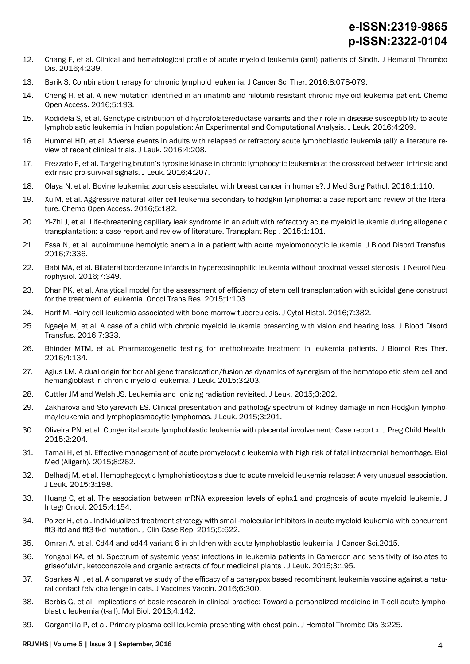- 12. Chang F, et al. Clinical and hematological profile of acute myeloid leukemia (aml) patients of Sindh. J Hematol Thrombo Dis. 2016;4:239.
- 13. Barik S. Combination therapy for chronic lymphoid leukemia. J Cancer Sci Ther. 2016;8:078-079.
- 14. Cheng H, et al. A new mutation identified in an imatinib and nilotinib resistant chronic myeloid leukemia patient. Chemo Open Access. 2016;5:193.
- 15. Kodidela S, et al. Genotype distribution of dihydrofolatereductase variants and their role in disease susceptibility to acute lymphoblastic leukemia in Indian population: An Experimental and Computational Analysis. J Leuk. 2016;4:209.
- 16. Hummel HD, et al. Adverse events in adults with relapsed or refractory acute lymphoblastic leukemia (all): a literature review of recent clinical trials. J Leuk. 2016;4:208.
- 17. Frezzato F, et al. Targeting bruton's tyrosine kinase in chronic lymphocytic leukemia at the crossroad between intrinsic and extrinsic pro-survival signals. J Leuk. 2016;4:207.
- 18. Olaya N, et al. Bovine leukemia: zoonosis associated with breast cancer in humans?. J Med Surg Pathol. 2016;1:110.
- 19. Xu M, et al. Aggressive natural killer cell leukemia secondary to hodgkin lymphoma: a case report and review of the literature. Chemo Open Access. 2016;5:182.
- 20. Yi-Zhi J, et al. Life-threatening capillary leak syndrome in an adult with refractory acute myeloid leukemia during allogeneic transplantation: a case report and review of literature. Transplant Rep . 2015;1:101.
- 21. Essa N, et al. autoimmune hemolytic anemia in a patient with acute myelomonocytic leukemia. J Blood Disord Transfus. 2016;7:336.
- 22. Babi MA, et al. Bilateral borderzone infarcts in hypereosinophilic leukemia without proximal vessel stenosis. J Neurol Neurophysiol. 2016;7:349.
- 23. Dhar PK, et al. Analytical model for the assessment of efficiency of stem cell transplantation with suicidal gene construct for the treatment of leukemia. Oncol Trans Res. 2015;1:103.
- 24. Harif M. Hairy cell leukemia associated with bone marrow tuberculosis. J Cytol Histol. 2016;7:382.
- 25. Ngaeje M, et al. A case of a child with chronic myeloid leukemia presenting with vision and hearing loss. J Blood Disord Transfus. 2016;7:333.
- 26. Bhinder MTM, et al. Pharmacogenetic testing for methotrexate treatment in leukemia patients. J Biomol Res Ther. 2016;4:134.
- 27. Agius LM. A dual origin for bcr-abl gene translocation/fusion as dynamics of synergism of the hematopoietic stem cell and hemangioblast in chronic myeloid leukemia. J Leuk. 2015;3:203.
- 28. Cuttler JM and Welsh JS. Leukemia and ionizing radiation revisited. J Leuk. 2015;3:202.
- 29. Zakharova and Stolyarevich ES. Clinical presentation and pathology spectrum of kidney damage in non-Hodgkin lymphoma/leukemia and lymphoplasmacytic lymphomas. J Leuk. 2015;3:201.
- 30. Oliveira PN, et al. Congenital acute lymphoblastic leukemia with placental involvement: Case report x. J Preg Child Health. 2015;2:204.
- 31. Tamai H, et al. Effective management of acute promyelocytic leukemia with high risk of fatal intracranial hemorrhage. Biol Med (Aligarh). 2015;8:262.
- 32. Belhadj M, et al. Hemophagocytic lymphohistiocytosis due to acute myeloid leukemia relapse: A very unusual association. J Leuk. 2015;3:198.
- 33. Huang C, et al. The association between mRNA expression levels of ephx1 and prognosis of acute myeloid leukemia. J Integr Oncol. 2015;4:154.
- 34. Polzer H, et al. Individualized treatment strategy with small-molecular inhibitors in acute myeloid leukemia with concurrent flt3-itd and flt3-tkd mutation. J Clin Case Rep. 2015;5:622.
- 35. Omran A, et al. Cd44 and cd44 variant 6 in children with acute lymphoblastic leukemia. J Cancer Sci.2015.
- 36. Yongabi KA, et al. Spectrum of systemic yeast infections in leukemia patients in Cameroon and sensitivity of isolates to griseofulvin, ketoconazole and organic extracts of four medicinal plants . J Leuk. 2015;3:195.
- 37. Sparkes AH, et al. A comparative study of the efficacy of a canarypox based recombinant leukemia vaccine against a natural contact felv challenge in cats. J Vaccines Vaccin. 2016;6:300.
- 38. Berbis G, et al. Implications of basic research in clinical practice: Toward a personalized medicine in T-cell acute lymphoblastic leukemia (t-all). Mol Biol. 2013;4:142.
- 39. Gargantilla P, et al. Primary plasma cell leukemia presenting with chest pain. J Hematol Thrombo Dis 3:225.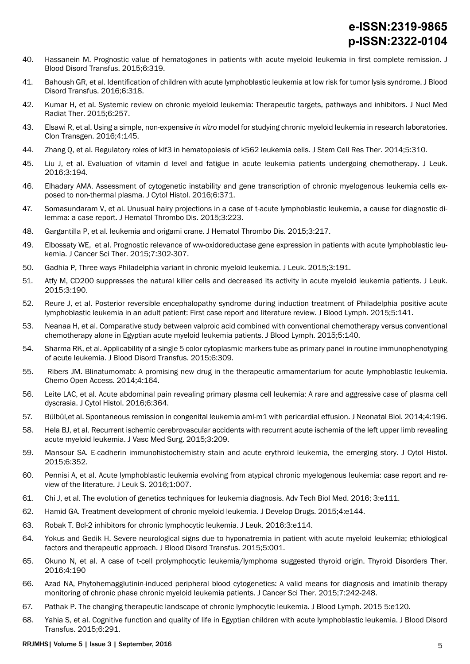- 40. Hassanein M. Prognostic value of hematogones in patients with acute myeloid leukemia in first complete remission. J Blood Disord Transfus. 2015;6:319.
- 41. Bahoush GR, et al. Identification of children with acute lymphoblastic leukemia at low risk for tumor lysis syndrome. J Blood Disord Transfus. 2016;6:318.
- 42. Kumar H, et al. Systemic review on chronic myeloid leukemia: Therapeutic targets, pathways and inhibitors. J Nucl Med Radiat Ther. 2015;6:257.
- 43. Elsawi R, et al. Using a simple, non-expensive *in vitro* model for studying chronic myeloid leukemia in research laboratories. Clon Transgen. 2016;4:145.
- 44. Zhang Q, et al. Regulatory roles of klf3 in hematopoiesis of k562 leukemia cells. J Stem Cell Res Ther. 2014;5:310.
- 45. Liu J, et al. Evaluation of vitamin d level and fatigue in acute leukemia patients undergoing chemotherapy. J Leuk. 2016;3:194.
- 46. Elhadary AMA. Assessment of cytogenetic instability and gene transcription of chronic myelogenous leukemia cells exposed to non-thermal plasma. J Cytol Histol. 2016;6:371.
- 47. Somasundaram V, et al. Unusual hairy projections in a case of t-acute lymphoblastic leukemia, a cause for diagnostic dilemma: a case report. J Hematol Thrombo Dis. 2015;3:223.
- 48. Gargantilla P, et al. leukemia and origami crane. J Hematol Thrombo Dis. 2015;3:217.
- 49. Elbossaty WE, et al. Prognostic relevance of ww-oxidoreductase gene expression in patients with acute lymphoblastic leukemia. J Cancer Sci Ther. 2015;7:302-307.
- 50. Gadhia P, Three ways Philadelphia variant in chronic myeloid leukemia. J Leuk. 2015;3:191.
- 51. Atfy M, CD200 suppresses the natural killer cells and decreased its activity in acute myeloid leukemia patients. J Leuk. 2015;3:190.
- 52. Reure J, et al. Posterior reversible encephalopathy syndrome during induction treatment of Philadelphia positive acute lymphoblastic leukemia in an adult patient: First case report and literature review. J Blood Lymph. 2015;5:141.
- 53. Neanaa H, et al. Comparative study between valproic acid combined with conventional chemotherapy versus conventional chemotherapy alone in Egyptian acute myeloid leukemia patients. J Blood Lymph. 2015;5:140.
- 54. Sharma RK, et al. Applicability of a single 5 color cytoplasmic markers tube as primary panel in routine immunophenotyping of acute leukemia. J Blood Disord Transfus. 2015;6:309.
- 55. Ribers JM. Blinatumomab: A promising new drug in the therapeutic armamentarium for acute lymphoblastic leukemia. Chemo Open Access. 2014;4:164.
- 56. Leite LAC, et al. Acute abdominal pain revealing primary plasma cell leukemia: A rare and aggressive case of plasma cell dyscrasia. J Cytol Histol. 2016;6:364.
- 57. Bülbül,et al. Spontaneous remission in congenital leukemia aml-m1 with pericardial effusion. J Neonatal Biol. 2014;4:196.
- 58. Hela BJ, et al. Recurrent ischemic cerebrovascular accidents with recurrent acute ischemia of the left upper limb revealing acute myeloid leukemia. J Vasc Med Surg. 2015;3:209.
- 59. Mansour SA. E-cadherin immunohistochemistry stain and acute erythroid leukemia, the emerging story. J Cytol Histol. 2015;6:352.
- 60. Pennisi A, et al. Acute lymphoblastic leukemia evolving from atypical chronic myelogenous leukemia: case report and review of the literature. J Leuk S. 2016;1:007.
- 61. Chi J, et al. The evolution of genetics techniques for leukemia diagnosis. Adv Tech Biol Med. 2016; 3:e111.
- 62. Hamid GA. Treatment development of chronic myeloid leukemia. J Develop Drugs. 2015;4:e144.
- 63. Robak T. Bcl-2 inhibitors for chronic lymphocytic leukemia. J Leuk. 2016;3:e114.
- 64. Yokus and Gedik H. Severe neurological signs due to hyponatremia in patient with acute myeloid leukemia; ethiological factors and therapeutic approach. J Blood Disord Transfus. 2015;5:001.
- 65. Okuno N, et al. A case of t-cell prolymphocytic leukemia/lymphoma suggested thyroid origin. Thyroid Disorders Ther. 2016;4:190
- 66. Azad NA, Phytohemagglutinin-induced peripheral blood cytogenetics: A valid means for diagnosis and imatinib therapy monitoring of chronic phase chronic myeloid leukemia patients. J Cancer Sci Ther. 2015;7:242-248.
- 67. Pathak P. The changing therapeutic landscape of chronic lymphocytic leukemia. J Blood Lymph. 2015 5:e120.
- 68. Yahia S, et al. Cognitive function and quality of life in Egyptian children with acute lymphoblastic leukemia. J Blood Disord Transfus. 2015;6:291.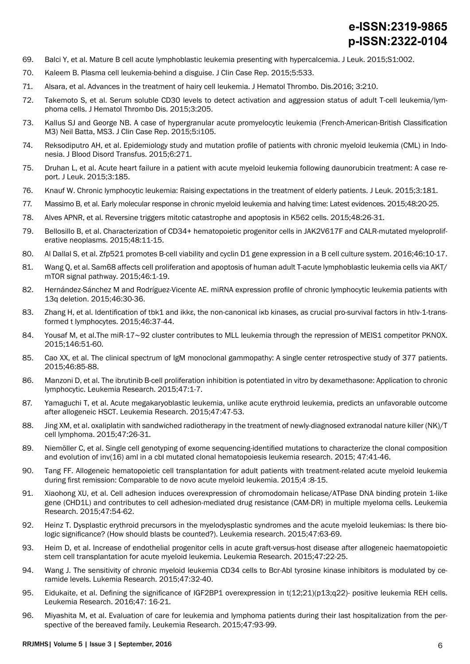- 69. Balci Y, et al. Mature B cell acute lymphoblastic leukemia presenting with hypercalcemia. J Leuk. 2015;S1:002.
- 70. Kaleem B. Plasma cell leukemia-behind a disguise. J Clin Case Rep. 2015;5:533.
- 71. Alsara, et al. Advances in the treatment of hairy cell leukemia. J Hematol Thrombo. Dis.2016; 3:210.
- 72. Takemoto S, et al. Serum soluble CD30 levels to detect activation and aggression status of adult T-cell leukemia/lymphoma cells. J Hematol Thrombo Dis. 2015;3:205.
- 73. Kallus SJ and George NB. A case of hypergranular acute promyelocytic leukemia (French-American-British Classification M3) Neil Batta, MS3. J Clin Case Rep. 2015;5:i105.
- 74. Reksodiputro AH, et al. Epidemiology study and mutation profile of patients with chronic myeloid leukemia (CML) in Indonesia. J Blood Disord Transfus. 2015;6:271.
- 75. Druhan L, et al. Acute heart failure in a patient with acute myeloid leukemia following daunorubicin treatment: A case report. J Leuk. 2015;3:185.
- 76. Knauf W. Chronic lymphocytic leukemia: Raising expectations in the treatment of elderly patients. J Leuk. 2015;3:181.
- 77. Massimo B, et al. Early molecular response in chronic myeloid leukemia and halving time: Latest evidences. 2015;48:20-25.
- 78. Alves APNR, et al. Reversine triggers mitotic catastrophe and apoptosis in K562 cells. 2015;48:26-31.
- 79. Bellosillo B, et al. Characterization of CD34+ hematopoietic progenitor cells in JAK2V617F and CALR-mutated myeloproliferative neoplasms. 2015;48:11-15.
- 80. Al Dallal S, et al. Zfp521 promotes B-cell viability and cyclin D1 gene expression in a B cell culture system. 2016;46:10-17.
- 81. Wang Q, et al. Sam68 affects cell proliferation and apoptosis of human adult T-acute lymphoblastic leukemia cells via AKT/ mTOR signal pathway. 2015;46:1-19.
- 82. Hernández-Sánchez M and Rodríguez-Vicente AE. miRNA expression profile of chronic lymphocytic leukemia patients with 13q deletion. 2015;46:30-36.
- 83. Zhang H, et al. Identification of tbk1 and ikke, the non-canonical ikb kinases, as crucial pro-survival factors in htlv-1-transformed t lymphocytes. 2015;46:37-44.
- 84. Yousaf M, et al.The miR-17∼92 cluster contributes to MLL leukemia through the repression of MEIS1 competitor PKNOX. 2015;146:51-60.
- 85. Cao XX, et al. The clinical spectrum of IgM monoclonal gammopathy: A single center retrospective study of 377 patients. 2015;46:85-88.
- 86. Manzoni D, et al. The ibrutinib B-cell proliferation inhibition is potentiated in vitro by dexamethasone: Application to chronic lymphocytic. Leukemia Research. 2015;47:1-7.
- 87. Yamaguchi T, et al. Acute megakaryoblastic leukemia, unlike acute erythroid leukemia, predicts an unfavorable outcome after allogeneic HSCT. Leukemia Research. 2015;47:47-53.
- 88. Jing XM, et al. oxaliplatin with sandwiched radiotherapy in the treatment of newly-diagnosed extranodal nature killer (NK)/T cell lymphoma. 2015;47:26-31.
- 89. Niemöller C, et al. Single cell genotyping of exome sequencing-identified mutations to characterize the clonal composition and evolution of inv(16) aml in a cbl mutated clonal hematopoiesis leukemia research. 2015; 47:41-46.
- 90. Tang FF. Allogeneic hematopoietic cell transplantation for adult patients with treatment-related acute myeloid leukemia during first remission: Comparable to de novo acute myeloid leukemia. 2015;4 :8-15.
- 91. Xiaohong XU, et al. Cell adhesion induces overexpression of chromodomain helicase/ATPase DNA binding protein 1-like gene (CHD1L) and contributes to cell adhesion-mediated drug resistance (CAM-DR) in multiple myeloma cells. Leukemia Research. 2015;47:54-62.
- 92. Heinz T. Dysplastic erythroid precursors in the myelodysplastic syndromes and the acute myeloid leukemias: Is there biologic significance? (How should blasts be counted?). Leukemia research. 2015;47:63-69.
- 93. Heim D, et al. Increase of endothelial progenitor cells in acute graft-versus-host disease after allogeneic haematopoietic stem cell transplantation for acute myeloid leukemia. Leukemia Research. 2015;47:22-25.
- 94. Wang J. The sensitivity of chronic myeloid leukemia CD34 cells to Bcr-Abl tyrosine kinase inhibitors is modulated by ceramide levels. Lukemia Research. 2015;47:32-40.
- 95. Eidukaite, et al. Defining the significance of IGF2BP1 overexpression in t(12;21)(p13;q22)- positive leukemia REH cells. Leukemia Research. 2016;47: 16-21.
- 96. Miyashita M, et al. Evaluation of care for leukemia and lymphoma patients during their last hospitalization from the perspective of the bereaved family. Leukemia Research. 2015;47:93-99.